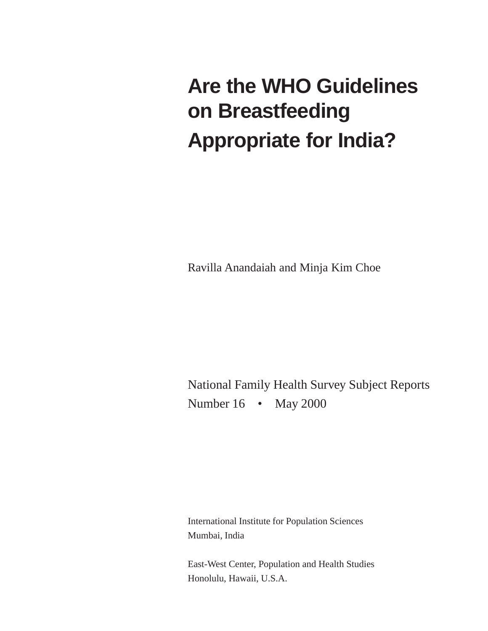# **Are the WHO Guidelines on Breastfeeding Appropriate for India?**

Ravilla Anandaiah and Minja Kim Choe

National Family Health Survey Subject Reports Number 16 • May 2000

International Institute for Population Sciences Mumbai, India

East-West Center, Population and Health Studies Honolulu, Hawaii, U.S.A.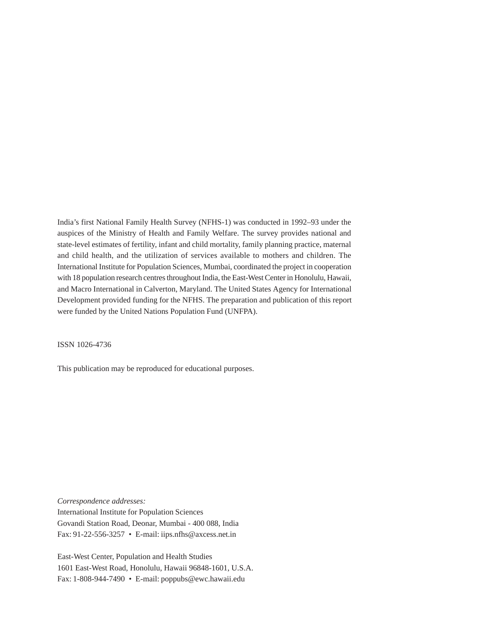India's first National Family Health Survey (NFHS-1) was conducted in 1992–93 under the auspices of the Ministry of Health and Family Welfare. The survey provides national and state-level estimates of fertility, infant and child mortality, family planning practice, maternal and child health, and the utilization of services available to mothers and children. The International Institute for Population Sciences, Mumbai, coordinated the project in cooperation with 18 population research centres throughout India, the East-West Center in Honolulu, Hawaii, and Macro International in Calverton, Maryland. The United States Agency for International Development provided funding for the NFHS. The preparation and publication of this report were funded by the United Nations Population Fund (UNFPA).

ISSN 1026-4736

This publication may be reproduced for educational purposes.

*Correspondence addresses:* International Institute for Population Sciences Govandi Station Road, Deonar, Mumbai - 400 088, India Fax: 91-22-556-3257 • E-mail: iips.nfhs@axcess.net.in

East-West Center, Population and Health Studies 1601 East-West Road, Honolulu, Hawaii 96848-1601, U.S.A. Fax: 1-808-944-7490 • E-mail: poppubs@ewc.hawaii.edu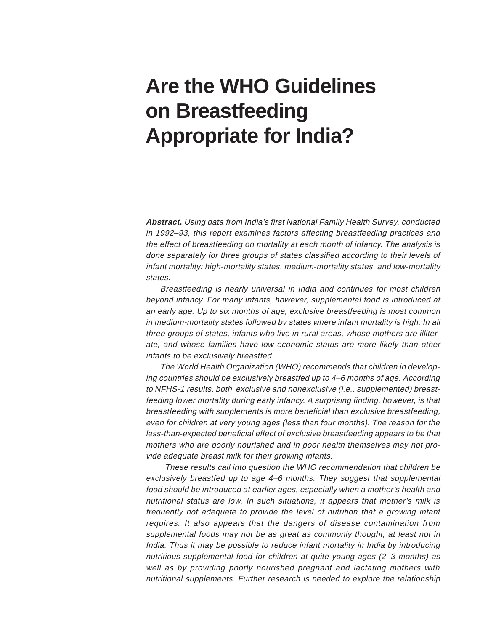# **Are the WHO Guidelines on Breastfeeding Appropriate for India?**

**Abstract.** Using data from India's first National Family Health Survey, conducted in 1992–93, this report examines factors affecting breastfeeding practices and the effect of breastfeeding on mortality at each month of infancy. The analysis is done separately for three groups of states classified according to their levels of infant mortality: high-mortality states, medium-mortality states, and low-mortality states.

Breastfeeding is nearly universal in India and continues for most children beyond infancy. For many infants, however, supplemental food is introduced at an early age. Up to six months of age, exclusive breastfeeding is most common in medium-mortality states followed by states where infant mortality is high. In all three groups of states, infants who live in rural areas, whose mothers are illiterate, and whose families have low economic status are more likely than other infants to be exclusively breastfed.

The World Health Organization (WHO) recommends that children in developing countries should be exclusively breastfed up to 4–6 months of age. According to NFHS-1 results, both exclusive and nonexclusive (i.e., supplemented) breastfeeding lower mortality during early infancy. A surprising finding, however, is that breastfeeding with supplements is more beneficial than exclusive breastfeeding, even for children at very young ages (less than four months). The reason for the less-than-expected beneficial effect of exclusive breastfeeding appears to be that mothers who are poorly nourished and in poor health themselves may not provide adequate breast milk for their growing infants.

These results call into question the WHO recommendation that children be exclusively breastfed up to age 4–6 months. They suggest that supplemental food should be introduced at earlier ages, especially when a mother's health and nutritional status are low. In such situations, it appears that mother's milk is frequently not adequate to provide the level of nutrition that a growing infant requires. It also appears that the dangers of disease contamination from supplemental foods may not be as great as commonly thought, at least not in India. Thus it may be possible to reduce infant mortality in India by introducing nutritious supplemental food for children at quite young ages (2–3 months) as well as by providing poorly nourished pregnant and lactating mothers with nutritional supplements. Further research is needed to explore the relationship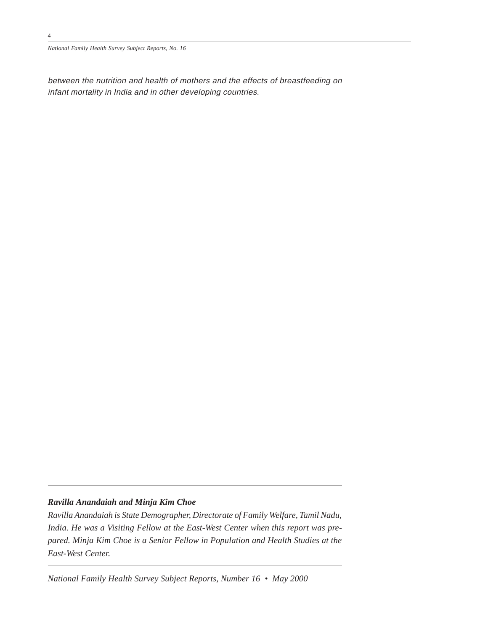*National Family Health Survey Subject Reports, No. 16*

between the nutrition and health of mothers and the effects of breastfeeding on infant mortality in India and in other developing countries.

# *Ravilla Anandaiah and Minja Kim Choe*

*Ravilla Anandaiah is State Demographer, Directorate of Family Welfare, Tamil Nadu, India. He was a Visiting Fellow at the East-West Center when this report was prepared. Minja Kim Choe is a Senior Fellow in Population and Health Studies at the East-West Center.*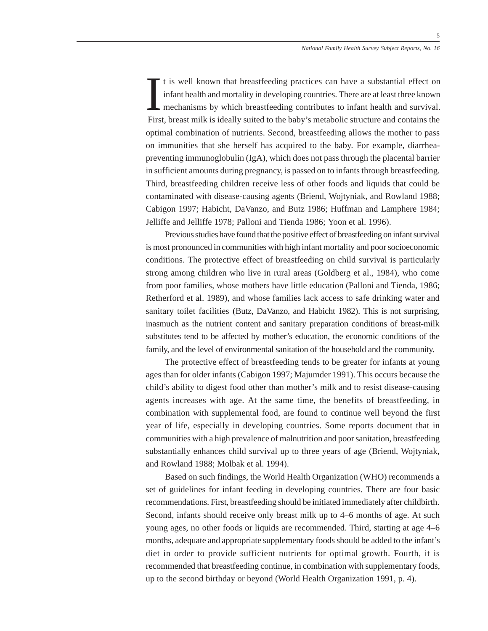First, breast milk is ideally suited to the baby's metabolic structure and contains the optimal combination of nutrients. Second, breastfeeding allows the mother to pass on immunities that she herself has acquired to the baby. For example, diarrheapreventing immunoglobulin (IgA), which does not pass through the placental barrier in sufficient amounts during pregnancy, is passed on to infants through breastfeeding. Third, breastfeeding children receive less of other foods and liquids that could be contaminated with disease-causing agents (Briend, Wojtyniak, and Rowland 1988; Cabigon 1997; Habicht, DaVanzo, and Butz 1986; Huffman and Lamphere 1984; Jelliffe and Jelliffe 1978; Palloni and Tienda 1986; Yoon et al. 1996). I<br>Fire t is well known that breastfeeding practices can have a substantial effect on infant health and mortality in developing countries. There are at least three known mechanisms by which breastfeeding contributes to infant health and survival.

Previous studies have found that the positive effect of breastfeeding on infant survival is most pronounced in communities with high infant mortality and poor socioeconomic conditions. The protective effect of breastfeeding on child survival is particularly strong among children who live in rural areas (Goldberg et al., 1984), who come from poor families, whose mothers have little education (Palloni and Tienda, 1986; Retherford et al. 1989), and whose families lack access to safe drinking water and sanitary toilet facilities (Butz, DaVanzo, and Habicht 1982). This is not surprising, inasmuch as the nutrient content and sanitary preparation conditions of breast-milk substitutes tend to be affected by mother's education, the economic conditions of the family, and the level of environmental sanitation of the household and the community.

The protective effect of breastfeeding tends to be greater for infants at young ages than for older infants (Cabigon 1997; Majumder 1991). This occurs because the child's ability to digest food other than mother's milk and to resist disease-causing agents increases with age. At the same time, the benefits of breastfeeding, in combination with supplemental food, are found to continue well beyond the first year of life, especially in developing countries. Some reports document that in communities with a high prevalence of malnutrition and poor sanitation, breastfeeding substantially enhances child survival up to three years of age (Briend, Wojtyniak, and Rowland 1988; Molbak et al. 1994).

Based on such findings, the World Health Organization (WHO) recommends a set of guidelines for infant feeding in developing countries. There are four basic recommendations. First, breastfeeding should be initiated immediately after childbirth. Second, infants should receive only breast milk up to 4–6 months of age. At such young ages, no other foods or liquids are recommended. Third, starting at age 4–6 months, adequate and appropriate supplementary foods should be added to the infant's diet in order to provide sufficient nutrients for optimal growth. Fourth, it is recommended that breastfeeding continue, in combination with supplementary foods, up to the second birthday or beyond (World Health Organization 1991, p. 4).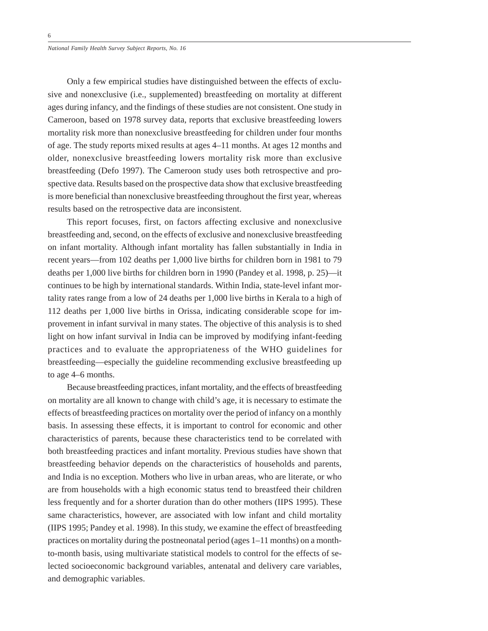*National Family Health Survey Subject Reports, No. 16*

Only a few empirical studies have distinguished between the effects of exclusive and nonexclusive (i.e., supplemented) breastfeeding on mortality at different ages during infancy, and the findings of these studies are not consistent. One study in Cameroon, based on 1978 survey data, reports that exclusive breastfeeding lowers mortality risk more than nonexclusive breastfeeding for children under four months of age. The study reports mixed results at ages 4–11 months. At ages 12 months and older, nonexclusive breastfeeding lowers mortality risk more than exclusive breastfeeding (Defo 1997). The Cameroon study uses both retrospective and prospective data. Results based on the prospective data show that exclusive breastfeeding is more beneficial than nonexclusive breastfeeding throughout the first year, whereas results based on the retrospective data are inconsistent.

This report focuses, first, on factors affecting exclusive and nonexclusive breastfeeding and, second, on the effects of exclusive and nonexclusive breastfeeding on infant mortality. Although infant mortality has fallen substantially in India in recent years—from 102 deaths per 1,000 live births for children born in 1981 to 79 deaths per 1,000 live births for children born in 1990 (Pandey et al. 1998, p. 25)—it continues to be high by international standards. Within India, state-level infant mortality rates range from a low of 24 deaths per 1,000 live births in Kerala to a high of 112 deaths per 1,000 live births in Orissa, indicating considerable scope for improvement in infant survival in many states. The objective of this analysis is to shed light on how infant survival in India can be improved by modifying infant-feeding practices and to evaluate the appropriateness of the WHO guidelines for breastfeeding—especially the guideline recommending exclusive breastfeeding up to age 4–6 months.

Because breastfeeding practices, infant mortality, and the effects of breastfeeding on mortality are all known to change with child's age, it is necessary to estimate the effects of breastfeeding practices on mortality over the period of infancy on a monthly basis. In assessing these effects, it is important to control for economic and other characteristics of parents, because these characteristics tend to be correlated with both breastfeeding practices and infant mortality. Previous studies have shown that breastfeeding behavior depends on the characteristics of households and parents, and India is no exception. Mothers who live in urban areas, who are literate, or who are from households with a high economic status tend to breastfeed their children less frequently and for a shorter duration than do other mothers (IIPS 1995). These same characteristics, however, are associated with low infant and child mortality (IIPS 1995; Pandey et al. 1998). In this study, we examine the effect of breastfeeding practices on mortality during the postneonatal period (ages 1–11 months) on a monthto-month basis, using multivariate statistical models to control for the effects of selected socioeconomic background variables, antenatal and delivery care variables, and demographic variables.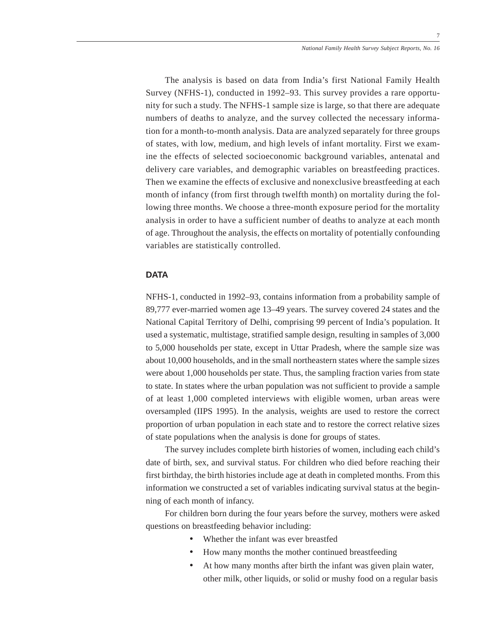The analysis is based on data from India's first National Family Health Survey (NFHS-1), conducted in 1992–93. This survey provides a rare opportunity for such a study. The NFHS-1 sample size is large, so that there are adequate numbers of deaths to analyze, and the survey collected the necessary information for a month-to-month analysis. Data are analyzed separately for three groups of states, with low, medium, and high levels of infant mortality. First we examine the effects of selected socioeconomic background variables, antenatal and delivery care variables, and demographic variables on breastfeeding practices. Then we examine the effects of exclusive and nonexclusive breastfeeding at each month of infancy (from first through twelfth month) on mortality during the following three months. We choose a three-month exposure period for the mortality analysis in order to have a sufficient number of deaths to analyze at each month of age. Throughout the analysis, the effects on mortality of potentially confounding variables are statistically controlled.

#### **DATA**

NFHS-1, conducted in 1992–93, contains information from a probability sample of 89,777 ever-married women age 13–49 years. The survey covered 24 states and the National Capital Territory of Delhi, comprising 99 percent of India's population. It used a systematic, multistage, stratified sample design, resulting in samples of 3,000 to 5,000 households per state, except in Uttar Pradesh, where the sample size was about 10,000 households, and in the small northeastern states where the sample sizes were about 1,000 households per state. Thus, the sampling fraction varies from state to state. In states where the urban population was not sufficient to provide a sample of at least 1,000 completed interviews with eligible women, urban areas were oversampled (IIPS 1995). In the analysis, weights are used to restore the correct proportion of urban population in each state and to restore the correct relative sizes of state populations when the analysis is done for groups of states.

The survey includes complete birth histories of women, including each child's date of birth, sex, and survival status. For children who died before reaching their first birthday, the birth histories include age at death in completed months. From this information we constructed a set of variables indicating survival status at the beginning of each month of infancy.

For children born during the four years before the survey, mothers were asked questions on breastfeeding behavior including:

- Whether the infant was ever breastfed
- How many months the mother continued breastfeeding
- At how many months after birth the infant was given plain water, other milk, other liquids, or solid or mushy food on a regular basis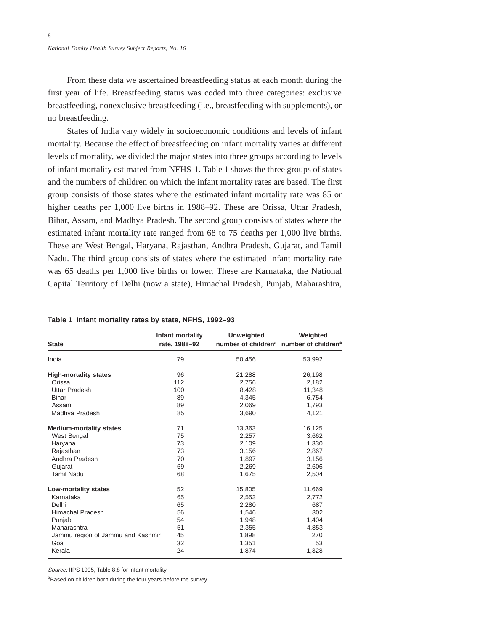From these data we ascertained breastfeeding status at each month during the first year of life. Breastfeeding status was coded into three categories: exclusive breastfeeding, nonexclusive breastfeeding (i.e., breastfeeding with supplements), or no breastfeeding.

States of India vary widely in socioeconomic conditions and levels of infant mortality. Because the effect of breastfeeding on infant mortality varies at different levels of mortality, we divided the major states into three groups according to levels of infant mortality estimated from NFHS-1. Table 1 shows the three groups of states and the numbers of children on which the infant mortality rates are based. The first group consists of those states where the estimated infant mortality rate was 85 or higher deaths per 1,000 live births in 1988–92. These are Orissa, Uttar Pradesh, Bihar, Assam, and Madhya Pradesh. The second group consists of states where the estimated infant mortality rate ranged from 68 to 75 deaths per 1,000 live births. These are West Bengal, Haryana, Rajasthan, Andhra Pradesh, Gujarat, and Tamil Nadu. The third group consists of states where the estimated infant mortality rate was 65 deaths per 1,000 live births or lower. These are Karnataka, the National Capital Territory of Delhi (now a state), Himachal Pradesh, Punjab, Maharashtra,

| <b>State</b>                      | Infant mortality<br>rate, 1988-92 | <b>Unweighted</b> | Weighted<br>number of children <sup>a</sup> number of children <sup>a</sup> |
|-----------------------------------|-----------------------------------|-------------------|-----------------------------------------------------------------------------|
| India                             | 79                                | 50,456            | 53,992                                                                      |
| <b>High-mortality states</b>      | 96                                | 21,288            | 26,198                                                                      |
| Orissa                            | 112                               | 2,756             | 2,182                                                                       |
| Uttar Pradesh                     | 100                               | 8,428             | 11,348                                                                      |
| <b>Bihar</b>                      | 89                                | 4,345             | 6,754                                                                       |
| Assam                             | 89                                | 2,069             | 1,793                                                                       |
| Madhya Pradesh                    | 85                                | 3,690             | 4,121                                                                       |
| <b>Medium-mortality states</b>    | 71                                | 13,363            | 16,125                                                                      |
| West Bengal                       | 75                                | 2,257             | 3,662                                                                       |
| Haryana                           | 73                                | 2,109             | 1,330                                                                       |
| Rajasthan                         | 73                                | 3,156             | 2,867                                                                       |
| Andhra Pradesh                    | 70                                | 1,897             | 3,156                                                                       |
| Gujarat                           | 69                                | 2,269             | 2,606                                                                       |
| <b>Tamil Nadu</b>                 | 68                                | 1,675             | 2,504                                                                       |
| Low-mortality states              | 52                                | 15,805            | 11,669                                                                      |
| Karnataka                         | 65                                | 2,553             | 2,772                                                                       |
| Delhi                             | 65                                | 2,280             | 687                                                                         |
| <b>Himachal Pradesh</b>           | 56                                | 1,546             | 302                                                                         |
| Punjab                            | 54                                | 1,948             | 1,404                                                                       |
| Maharashtra                       | 51                                | 2,355             | 4,853                                                                       |
| Jammu region of Jammu and Kashmir | 45                                | 1,898             | 270                                                                         |
| Goa                               | 32                                | 1,351             | 53                                                                          |
| Kerala                            | 24                                | 1,874             | 1,328                                                                       |

Source: IIPS 1995, Table 8.8 for infant mortality.

<sup>a</sup>Based on children born during the four years before the survey.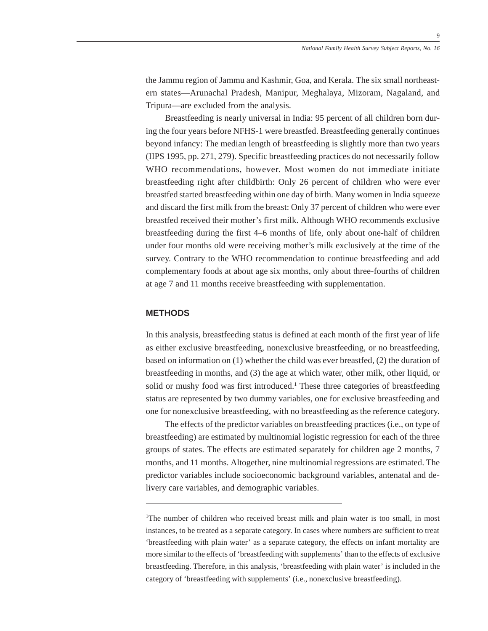the Jammu region of Jammu and Kashmir, Goa, and Kerala. The six small northeastern states—Arunachal Pradesh, Manipur, Meghalaya, Mizoram, Nagaland, and Tripura—are excluded from the analysis.

Breastfeeding is nearly universal in India: 95 percent of all children born during the four years before NFHS-1 were breastfed. Breastfeeding generally continues beyond infancy: The median length of breastfeeding is slightly more than two years (IIPS 1995, pp. 271, 279). Specific breastfeeding practices do not necessarily follow WHO recommendations, however. Most women do not immediate initiate breastfeeding right after childbirth: Only 26 percent of children who were ever breastfed started breastfeeding within one day of birth. Many women in India squeeze and discard the first milk from the breast: Only 37 percent of children who were ever breastfed received their mother's first milk. Although WHO recommends exclusive breastfeeding during the first 4–6 months of life, only about one-half of children under four months old were receiving mother's milk exclusively at the time of the survey. Contrary to the WHO recommendation to continue breastfeeding and add complementary foods at about age six months, only about three-fourths of children at age 7 and 11 months receive breastfeeding with supplementation.

#### **METHODS**

In this analysis, breastfeeding status is defined at each month of the first year of life as either exclusive breastfeeding, nonexclusive breastfeeding, or no breastfeeding, based on information on (1) whether the child was ever breastfed, (2) the duration of breastfeeding in months, and (3) the age at which water, other milk, other liquid, or solid or mushy food was first introduced.<sup>1</sup> These three categories of breastfeeding status are represented by two dummy variables, one for exclusive breastfeeding and one for nonexclusive breastfeeding, with no breastfeeding as the reference category.

The effects of the predictor variables on breastfeeding practices (i.e., on type of breastfeeding) are estimated by multinomial logistic regression for each of the three groups of states. The effects are estimated separately for children age 2 months, 7 months, and 11 months. Altogether, nine multinomial regressions are estimated. The predictor variables include socioeconomic background variables, antenatal and delivery care variables, and demographic variables.

<sup>&</sup>lt;sup>1</sup>The number of children who received breast milk and plain water is too small, in most instances, to be treated as a separate category. In cases where numbers are sufficient to treat 'breastfeeding with plain water' as a separate category, the effects on infant mortality are more similar to the effects of 'breastfeeding with supplements' than to the effects of exclusive breastfeeding. Therefore, in this analysis, 'breastfeeding with plain water' is included in the category of 'breastfeeding with supplements' (i.e., nonexclusive breastfeeding).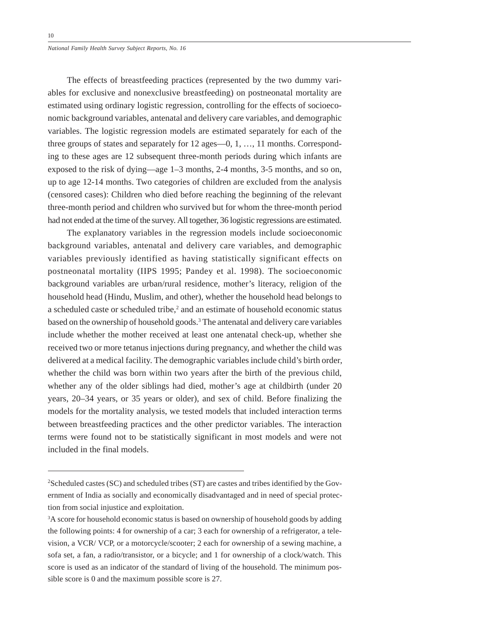*National Family Health Survey Subject Reports, No. 16*

The effects of breastfeeding practices (represented by the two dummy variables for exclusive and nonexclusive breastfeeding) on postneonatal mortality are estimated using ordinary logistic regression, controlling for the effects of socioeconomic background variables, antenatal and delivery care variables, and demographic variables. The logistic regression models are estimated separately for each of the three groups of states and separately for 12 ages—0, 1, …, 11 months. Corresponding to these ages are 12 subsequent three-month periods during which infants are exposed to the risk of dying—age 1–3 months, 2-4 months, 3-5 months, and so on, up to age 12-14 months. Two categories of children are excluded from the analysis (censored cases): Children who died before reaching the beginning of the relevant three-month period and children who survived but for whom the three-month period had not ended at the time of the survey. All together, 36 logistic regressions are estimated.

The explanatory variables in the regression models include socioeconomic background variables, antenatal and delivery care variables, and demographic variables previously identified as having statistically significant effects on postneonatal mortality (IIPS 1995; Pandey et al. 1998). The socioeconomic background variables are urban/rural residence, mother's literacy, religion of the household head (Hindu, Muslim, and other), whether the household head belongs to a scheduled caste or scheduled tribe,<sup>2</sup> and an estimate of household economic status based on the ownership of household goods.<sup>3</sup> The antenatal and delivery care variables include whether the mother received at least one antenatal check-up, whether she received two or more tetanus injections during pregnancy, and whether the child was delivered at a medical facility. The demographic variables include child's birth order, whether the child was born within two years after the birth of the previous child, whether any of the older siblings had died, mother's age at childbirth (under 20 years, 20–34 years, or 35 years or older), and sex of child. Before finalizing the models for the mortality analysis, we tested models that included interaction terms between breastfeeding practices and the other predictor variables. The interaction terms were found not to be statistically significant in most models and were not included in the final models.

 ${}^{2}$ Scheduled castes (SC) and scheduled tribes (ST) are castes and tribes identified by the Government of India as socially and economically disadvantaged and in need of special protection from social injustice and exploitation.

<sup>&</sup>lt;sup>3</sup>A score for household economic status is based on ownership of household goods by adding the following points: 4 for ownership of a car; 3 each for ownership of a refrigerator, a television, a VCR/ VCP, or a motorcycle/scooter; 2 each for ownership of a sewing machine, a sofa set, a fan, a radio/transistor, or a bicycle; and 1 for ownership of a clock/watch. This score is used as an indicator of the standard of living of the household. The minimum possible score is 0 and the maximum possible score is 27.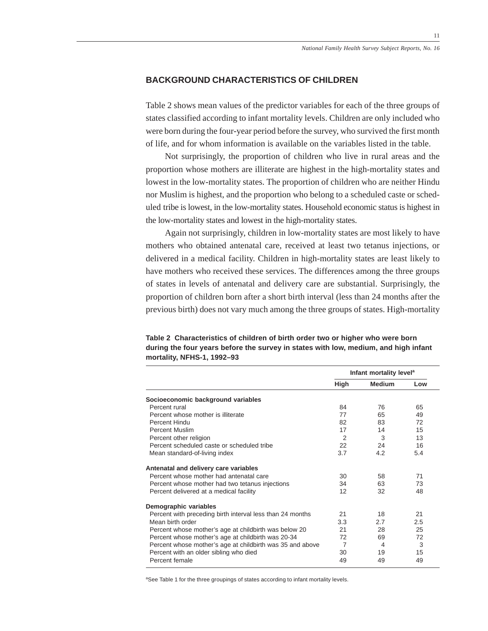# **BACKGROUND CHARACTERISTICS OF CHILDREN**

Table 2 shows mean values of the predictor variables for each of the three groups of states classified according to infant mortality levels. Children are only included who were born during the four-year period before the survey, who survived the first month of life, and for whom information is available on the variables listed in the table.

Not surprisingly, the proportion of children who live in rural areas and the proportion whose mothers are illiterate are highest in the high-mortality states and lowest in the low-mortality states. The proportion of children who are neither Hindu nor Muslim is highest, and the proportion who belong to a scheduled caste or scheduled tribe is lowest, in the low-mortality states. Household economic status is highest in the low-mortality states and lowest in the high-mortality states.

Again not surprisingly, children in low-mortality states are most likely to have mothers who obtained antenatal care, received at least two tetanus injections, or delivered in a medical facility. Children in high-mortality states are least likely to have mothers who received these services. The differences among the three groups of states in levels of antenatal and delivery care are substantial. Surprisingly, the proportion of children born after a short birth interval (less than 24 months after the previous birth) does not vary much among the three groups of states. High-mortality

| mortality, NFHS-1, 1992-93                                                          |
|-------------------------------------------------------------------------------------|
| during the four years before the survey in states with low, medium, and high infant |
| Table Z Characteristics of children of birth order two or muner who were born       |

**Table 2 Characteristics of children of birth order two or higher who were born**

|                                                           | Infant mortality level <sup>a</sup> |               |     |
|-----------------------------------------------------------|-------------------------------------|---------------|-----|
|                                                           | High                                | <b>Medium</b> | Low |
| Socioeconomic background variables                        |                                     |               |     |
| Percent rural                                             | 84                                  | 76            | 65  |
| Percent whose mother is illiterate                        | 77                                  | 65            | 49  |
| Percent Hindu                                             | 82                                  | 83            | 72  |
| <b>Percent Muslim</b>                                     | 17                                  | 14            | 15  |
| Percent other religion                                    | 2                                   | 3             | 13  |
| Percent scheduled caste or scheduled tribe                | 22                                  | 24            | 16  |
| Mean standard-of-living index                             | 3.7                                 | 4.2           | 5.4 |
| Antenatal and delivery care variables                     |                                     |               |     |
| Percent whose mother had antenatal care                   | 30                                  | 58            | 71  |
| Percent whose mother had two tetanus injections           | 34                                  | 63            | 73  |
| Percent delivered at a medical facility                   | 12                                  | 32            | 48  |
| Demographic variables                                     |                                     |               |     |
| Percent with preceding birth interval less than 24 months | 21                                  | 18            | 21  |
| Mean birth order                                          | 3.3                                 | 2.7           | 2.5 |
| Percent whose mother's age at childbirth was below 20     | 21                                  | 28            | 25  |
| Percent whose mother's age at childbirth was 20-34        | 72                                  | 69            | 72  |
| Percent whose mother's age at childbirth was 35 and above | $\overline{7}$                      | 4             | 3   |
| Percent with an older sibling who died                    | 30                                  | 19            | 15  |
| Percent female                                            | 49                                  | 49            | 49  |

<sup>a</sup>See Table 1 for the three groupings of states according to infant mortality levels.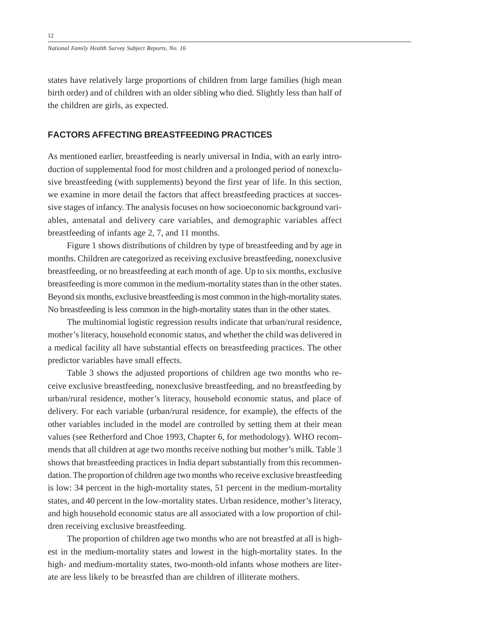states have relatively large proportions of children from large families (high mean birth order) and of children with an older sibling who died. Slightly less than half of the children are girls, as expected.

#### **FACTORS AFFECTING BREASTFEEDING PRACTICES**

As mentioned earlier, breastfeeding is nearly universal in India, with an early introduction of supplemental food for most children and a prolonged period of nonexclusive breastfeeding (with supplements) beyond the first year of life. In this section, we examine in more detail the factors that affect breastfeeding practices at successive stages of infancy. The analysis focuses on how socioeconomic background variables, antenatal and delivery care variables, and demographic variables affect breastfeeding of infants age 2, 7, and 11 months.

Figure 1 shows distributions of children by type of breastfeeding and by age in months. Children are categorized as receiving exclusive breastfeeding, nonexclusive breastfeeding, or no breastfeeding at each month of age. Up to six months, exclusive breastfeeding is more common in the medium-mortality states than in the other states. Beyond six months, exclusive breastfeeding is most common in the high-mortality states. No breastfeeding is less common in the high-mortality states than in the other states.

The multinomial logistic regression results indicate that urban/rural residence, mother's literacy, household economic status, and whether the child was delivered in a medical facility all have substantial effects on breastfeeding practices. The other predictor variables have small effects.

Table 3 shows the adjusted proportions of children age two months who receive exclusive breastfeeding, nonexclusive breastfeeding, and no breastfeeding by urban/rural residence, mother's literacy, household economic status, and place of delivery. For each variable (urban/rural residence, for example), the effects of the other variables included in the model are controlled by setting them at their mean values (see Retherford and Choe 1993, Chapter 6, for methodology). WHO recommends that all children at age two months receive nothing but mother's milk. Table 3 shows that breastfeeding practices in India depart substantially from this recommendation. The proportion of children age two months who receive exclusive breastfeeding is low: 34 percent in the high-mortality states, 51 percent in the medium-mortality states, and 40 percent in the low-mortality states. Urban residence, mother's literacy, and high household economic status are all associated with a low proportion of children receiving exclusive breastfeeding.

The proportion of children age two months who are not breastfed at all is highest in the medium-mortality states and lowest in the high-mortality states. In the high- and medium-mortality states, two-month-old infants whose mothers are literate are less likely to be breastfed than are children of illiterate mothers.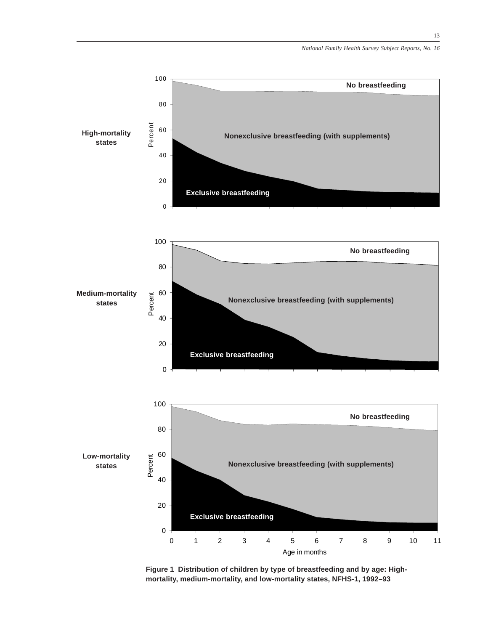13



**Figure 1 Distribution of children by type of breastfeeding and by age: Highmortality, medium-mortality, and low-mortality states, NFHS-1, 1992–93**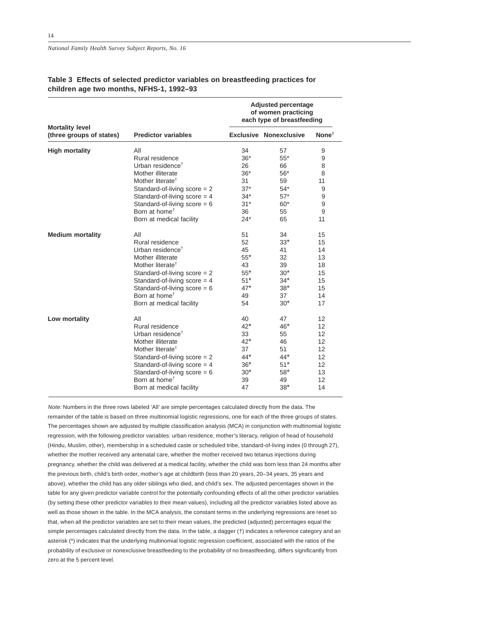|                                                    |                                | <b>Adjusted percentage</b><br>of women practicing<br>each type of breastfeeding |                               |                   |
|----------------------------------------------------|--------------------------------|---------------------------------------------------------------------------------|-------------------------------|-------------------|
| <b>Mortality level</b><br>(three groups of states) | <b>Predictor variables</b>     |                                                                                 | <b>Exclusive Nonexclusive</b> | None <sup>t</sup> |
| <b>High mortality</b>                              | All                            | 34                                                                              | 57                            | 9                 |
|                                                    | Rural residence                | $36*$                                                                           | $55*$                         | 9                 |
|                                                    | Urban residence <sup>†</sup>   | 26                                                                              | 66                            | 8                 |
|                                                    | Mother illiterate              | $36*$                                                                           | $56*$                         | 8                 |
|                                                    | Mother literate <sup>†</sup>   | 31                                                                              | 59                            | 11                |
|                                                    | Standard-of-living score $= 2$ | $37*$                                                                           | $54*$                         | 9                 |
|                                                    | Standard-of-living score $=$ 4 | $34*$                                                                           | $57*$                         | 9                 |
|                                                    | Standard-of-living score $= 6$ | $31*$                                                                           | $60*$                         | 9                 |
|                                                    | Born at home <sup>†</sup>      | 36                                                                              | 55                            | 9                 |
|                                                    | Born at medical facility       | 24*                                                                             | 65                            | 11                |
| <b>Medium mortality</b>                            | All                            | 51                                                                              | 34                            | 15                |
|                                                    | Rural residence                | 52                                                                              | $33*$                         | 15                |
|                                                    | Urban residence <sup>t</sup>   | 45                                                                              | 41                            | 14                |
|                                                    | Mother illiterate              | $55*$                                                                           | 32                            | 13                |
|                                                    | Mother literate <sup>†</sup>   | 43                                                                              | 39                            | 18                |
|                                                    | Standard-of-living score $= 2$ | $55*$                                                                           | $30*$                         | 15                |
|                                                    | Standard-of-living score $=$ 4 | $51*$                                                                           | $34*$                         | 15                |
|                                                    | Standard-of-living score = $6$ | $47*$                                                                           | $38*$                         | 15                |
|                                                    | Born at home <sup>†</sup>      | 49                                                                              | 37                            | 14                |
|                                                    | Born at medical facility       | 54                                                                              | $30*$                         | 17                |
| Low mortality                                      | All                            | 40                                                                              | 47                            | 12                |
|                                                    | Rural residence                | $42*$                                                                           | $46*$                         | 12                |
|                                                    | Urban residence <sup>†</sup>   | 33                                                                              | 55                            | 12                |
|                                                    | Mother illiterate              | $42^*$                                                                          | 46                            | 12                |
|                                                    | Mother literate <sup>†</sup>   | 37                                                                              | 51                            | 12                |
|                                                    | Standard-of-living score $= 2$ | $44*$                                                                           | $44*$                         | 12                |
|                                                    | Standard-of-living score $=$ 4 | $36*$                                                                           | $51*$                         | 12                |
|                                                    | Standard-of-living score = $6$ | $30*$                                                                           | $58*$                         | 13                |
|                                                    | Born at home <sup>†</sup>      | 39                                                                              | 49                            | 12                |
|                                                    | Born at medical facility       | 47                                                                              | $38*$                         | 14                |

#### **Table 3 Effects of selected predictor variables on breastfeeding practices for children age two months, NFHS-1, 1992–93**

Note: Numbers in the three rows labeled 'All' are simple percentages calculated directly from the data. The remainder of the table is based on three multinomial logistic regressions, one for each of the three groups of states. The percentages shown are adjusted by multiple classification analysis (MCA) in conjunction with multinomial logistic regression, with the following predictor variables: urban residence, mother's literacy, religion of head of household (Hindu, Muslim, other), membership in a scheduled caste or scheduled tribe, standard-of-living index (0 through 27), whether the mother received any antenatal care, whether the mother received two tetanus injections during pregnancy, whether the child was delivered at a medical facility, whether the child was born less than 24 months after the previous birth, child's birth order, mother's age at childbirth (less than 20 years, 20–34 years, 35 years and above), whether the child has any older siblings who died, and child's sex. The adjusted percentages shown in the table for any given predictor variable control for the potentially confounding effects of all the other predictor variables (by setting these other predictor variables to their mean values), including all the predictor variables listed above as well as those shown in the table. In the MCA analysis, the constant terms in the underlying regressions are reset so that, when all the predictor variables are set to their mean values, the predicted (adjusted) percentages equal the simple percentages calculated directly from the data. In the table, a dagger (†) indicates a reference category and an asterisk (\*) indicates that the underlying multinomial logistic regression coefficient, associated with the ratios of the probability of exclusive or nonexclusive breastfeeding to the probability of no breastfeeding, differs significantly from zero at the 5 percent level.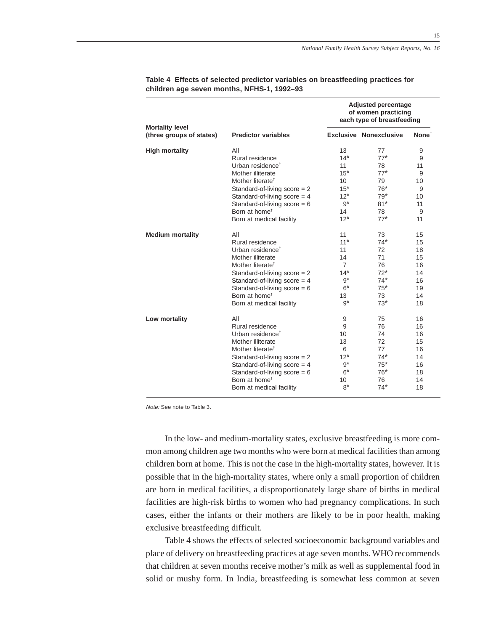15

|                                                    | <b>Predictor variables</b>     | <b>Adjusted percentage</b><br>of women practicing<br>each type of breastfeeding |                               |                   |
|----------------------------------------------------|--------------------------------|---------------------------------------------------------------------------------|-------------------------------|-------------------|
| <b>Mortality level</b><br>(three groups of states) |                                |                                                                                 | <b>Exclusive Nonexclusive</b> | None <sup>†</sup> |
| <b>High mortality</b>                              | All                            | 13                                                                              | 77                            | 9                 |
|                                                    | Rural residence                | $14*$                                                                           | $77*$                         | 9                 |
|                                                    | Urban residence <sup>†</sup>   | 11                                                                              | 78                            | 11                |
|                                                    | Mother illiterate              | $15*$                                                                           | $77*$                         | 9                 |
|                                                    | Mother literate <sup>†</sup>   | 10 <sup>1</sup>                                                                 | 79                            | 10                |
|                                                    | Standard-of-living score = 2   | $15*$                                                                           | $76*$                         | 9                 |
|                                                    | Standard-of-living score $=$ 4 | $12*$                                                                           | $79*$                         | 10                |
|                                                    | Standard-of-living score = $6$ | $9^*$                                                                           | $81*$                         | 11                |
|                                                    | Born at home <sup>t</sup>      | 14                                                                              | 78                            | 9                 |
|                                                    | Born at medical facility       | $12*$                                                                           | $77*$                         | 11                |
| <b>Medium mortality</b>                            | All                            | 11                                                                              | 73                            | 15                |
|                                                    | Rural residence                | $11*$                                                                           | $74*$                         | 15                |
|                                                    | Urban residence <sup>t</sup>   | 11                                                                              | 72                            | 18                |
|                                                    | Mother illiterate              | 14                                                                              | 71                            | 15                |
|                                                    | Mother literate <sup>†</sup>   | $\overline{7}$                                                                  | 76                            | 16                |
|                                                    | Standard-of-living $score = 2$ | $14*$                                                                           | $72*$                         | 14                |
|                                                    | Standard-of-living $score = 4$ | $9^*$                                                                           | $74*$                         | 16                |
|                                                    | Standard-of-living score = $6$ | $6*$                                                                            | $75*$                         | 19                |
|                                                    | Born at home <sup>t</sup>      | 13                                                                              | 73                            | 14                |
|                                                    | Born at medical facility       | $9^*$                                                                           | $73*$                         | 18                |
| Low mortality                                      | All                            | 9                                                                               | 75                            | 16                |
|                                                    | Rural residence                | 9                                                                               | 76                            | 16                |
|                                                    | Urban residence <sup>†</sup>   | 10                                                                              | 74                            | 16                |
|                                                    | Mother illiterate              | 13                                                                              | 72                            | 15                |
|                                                    | Mother literate <sup>†</sup>   | 6                                                                               | 77                            | 16                |
|                                                    | Standard-of-living score $= 2$ | $12*$                                                                           | $74*$                         | 14                |
|                                                    | Standard-of-living score $=$ 4 | $9^*$                                                                           | $75*$                         | 16                |
|                                                    | Standard-of-living score $= 6$ | $6*$                                                                            | $76*$                         | 18                |
|                                                    | Born at home <sup>t</sup>      | 10                                                                              | 76                            | 14                |
|                                                    | Born at medical facility       | $8*$                                                                            | $74*$                         | 18                |

#### **Table 4 Effects of selected predictor variables on breastfeeding practices for children age seven months, NFHS-1, 1992–93**

Note: See note to Table 3.

In the low- and medium-mortality states, exclusive breastfeeding is more common among children age two months who were born at medical facilities than among children born at home. This is not the case in the high-mortality states, however. It is possible that in the high-mortality states, where only a small proportion of children are born in medical facilities, a disproportionately large share of births in medical facilities are high-risk births to women who had pregnancy complications. In such cases, either the infants or their mothers are likely to be in poor health, making exclusive breastfeeding difficult.

Table 4 shows the effects of selected socioeconomic background variables and place of delivery on breastfeeding practices at age seven months. WHO recommends that children at seven months receive mother's milk as well as supplemental food in solid or mushy form. In India, breastfeeding is somewhat less common at seven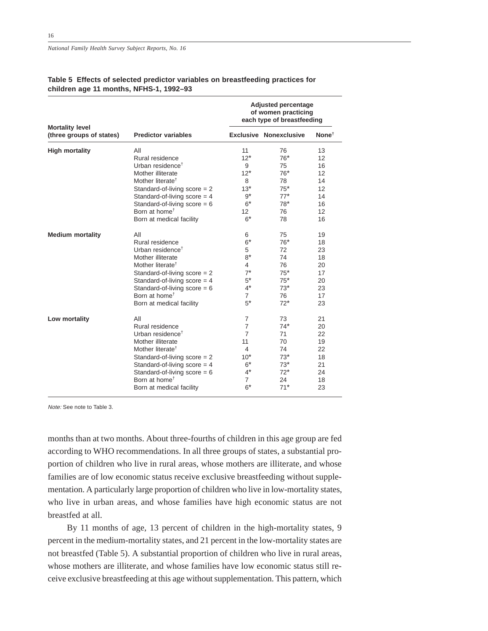|                                                    | <b>Predictor variables</b>     | <b>Adjusted percentage</b><br>of women practicing<br>each type of breastfeeding |                               |                         |
|----------------------------------------------------|--------------------------------|---------------------------------------------------------------------------------|-------------------------------|-------------------------|
| <b>Mortality level</b><br>(three groups of states) |                                |                                                                                 | <b>Exclusive Nonexclusive</b> | $\textsf{None}^\dagger$ |
| <b>High mortality</b>                              | All                            | 11                                                                              | 76                            | 13                      |
|                                                    | Rural residence                | $12*$                                                                           | $76*$                         | 12                      |
|                                                    | Urban residence <sup>†</sup>   | 9                                                                               | 75                            | 16                      |
|                                                    | Mother illiterate              | $12*$                                                                           | $76*$                         | 12                      |
|                                                    | Mother literate <sup>†</sup>   | 8                                                                               | 78                            | 14                      |
|                                                    | Standard-of-living score $= 2$ | $13*$                                                                           | $75*$                         | 12                      |
|                                                    | Standard-of-living score $=$ 4 | $9^*$                                                                           | $77*$                         | 14                      |
|                                                    | Standard-of-living score $= 6$ | $6*$                                                                            | $78*$                         | 16                      |
|                                                    | Born at home <sup>†</sup>      | 12 <sup>2</sup>                                                                 | 76                            | 12                      |
|                                                    | Born at medical facility       | $6*$                                                                            | 78                            | 16                      |
| <b>Medium mortality</b>                            | All                            | 6                                                                               | 75                            | 19                      |
|                                                    | Rural residence                | $6*$                                                                            | $76*$                         | 18                      |
|                                                    | Urban residence <sup>†</sup>   | 5                                                                               | 72                            | 23                      |
|                                                    | Mother illiterate              | $8*$                                                                            | 74                            | 18                      |
|                                                    | Mother literate <sup>†</sup>   | 4                                                                               | 76                            | 20                      |
|                                                    | Standard-of-living score $= 2$ | $7^*$                                                                           | $75*$                         | 17                      |
|                                                    | Standard-of-living score $=$ 4 | $5^*$                                                                           | $75*$                         | 20                      |
|                                                    | Standard-of-living score $= 6$ | $4^*$                                                                           | $73*$                         | 23                      |
|                                                    | Born at home <sup>†</sup>      | 7                                                                               | 76                            | 17                      |
|                                                    | Born at medical facility       | $5^*$                                                                           | $72^*$                        | 23                      |
| Low mortality                                      | All                            | $\overline{7}$                                                                  | 73                            | 21                      |
|                                                    | Rural residence                | $\overline{7}$                                                                  | $74*$                         | 20                      |
|                                                    | Urban residence <sup>†</sup>   | $\overline{7}$                                                                  | 71                            | 22                      |
|                                                    | Mother illiterate              | 11                                                                              | 70                            | 19                      |
|                                                    | Mother literate <sup>†</sup>   | 4                                                                               | 74                            | 22                      |
|                                                    | Standard-of-living score $= 2$ | $10^*$                                                                          | $73*$                         | 18                      |
|                                                    | Standard-of-living score $=$ 4 | $6*$                                                                            | $73*$                         | 21                      |
|                                                    | Standard-of-living score = $6$ | $4^*$                                                                           | $72*$                         | 24                      |
|                                                    | Born at home <sup>†</sup>      | 7                                                                               | 24                            | 18                      |
|                                                    | Born at medical facility       | $6*$                                                                            | $71*$                         | 23                      |

#### **Table 5 Effects of selected predictor variables on breastfeeding practices for children age 11 months, NFHS-1, 1992–93**

Note: See note to Table 3.

months than at two months. About three-fourths of children in this age group are fed according to WHO recommendations. In all three groups of states, a substantial proportion of children who live in rural areas, whose mothers are illiterate, and whose families are of low economic status receive exclusive breastfeeding without supplementation. A particularly large proportion of children who live in low-mortality states, who live in urban areas, and whose families have high economic status are not breastfed at all.

By 11 months of age, 13 percent of children in the high-mortality states, 9 percent in the medium-mortality states, and 21 percent in the low-mortality states are not breastfed (Table 5). A substantial proportion of children who live in rural areas, whose mothers are illiterate, and whose families have low economic status still receive exclusive breastfeeding at this age without supplementation. This pattern, which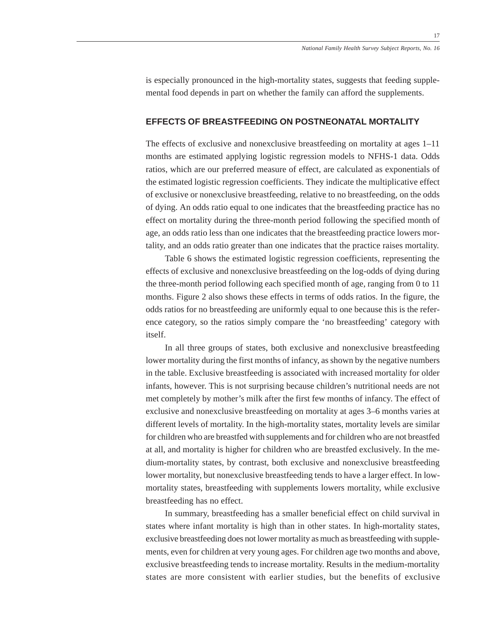is especially pronounced in the high-mortality states, suggests that feeding supplemental food depends in part on whether the family can afford the supplements.

#### **EFFECTS OF BREASTFEEDING ON POSTNEONATAL MORTALITY**

The effects of exclusive and nonexclusive breastfeeding on mortality at ages 1–11 months are estimated applying logistic regression models to NFHS-1 data. Odds ratios, which are our preferred measure of effect, are calculated as exponentials of the estimated logistic regression coefficients. They indicate the multiplicative effect of exclusive or nonexclusive breastfeeding, relative to no breastfeeding, on the odds of dying. An odds ratio equal to one indicates that the breastfeeding practice has no effect on mortality during the three-month period following the specified month of age, an odds ratio less than one indicates that the breastfeeding practice lowers mortality, and an odds ratio greater than one indicates that the practice raises mortality.

Table 6 shows the estimated logistic regression coefficients, representing the effects of exclusive and nonexclusive breastfeeding on the log-odds of dying during the three-month period following each specified month of age, ranging from 0 to 11 months. Figure 2 also shows these effects in terms of odds ratios. In the figure, the odds ratios for no breastfeeding are uniformly equal to one because this is the reference category, so the ratios simply compare the 'no breastfeeding' category with itself.

In all three groups of states, both exclusive and nonexclusive breastfeeding lower mortality during the first months of infancy, as shown by the negative numbers in the table. Exclusive breastfeeding is associated with increased mortality for older infants, however. This is not surprising because children's nutritional needs are not met completely by mother's milk after the first few months of infancy. The effect of exclusive and nonexclusive breastfeeding on mortality at ages 3–6 months varies at different levels of mortality. In the high-mortality states, mortality levels are similar for children who are breastfed with supplements and for children who are not breastfed at all, and mortality is higher for children who are breastfed exclusively. In the medium-mortality states, by contrast, both exclusive and nonexclusive breastfeeding lower mortality, but nonexclusive breastfeeding tends to have a larger effect. In lowmortality states, breastfeeding with supplements lowers mortality, while exclusive breastfeeding has no effect.

In summary, breastfeeding has a smaller beneficial effect on child survival in states where infant mortality is high than in other states. In high-mortality states, exclusive breastfeeding does not lower mortality as much as breastfeeding with supplements, even for children at very young ages. For children age two months and above, exclusive breastfeeding tends to increase mortality. Results in the medium-mortality states are more consistent with earlier studies, but the benefits of exclusive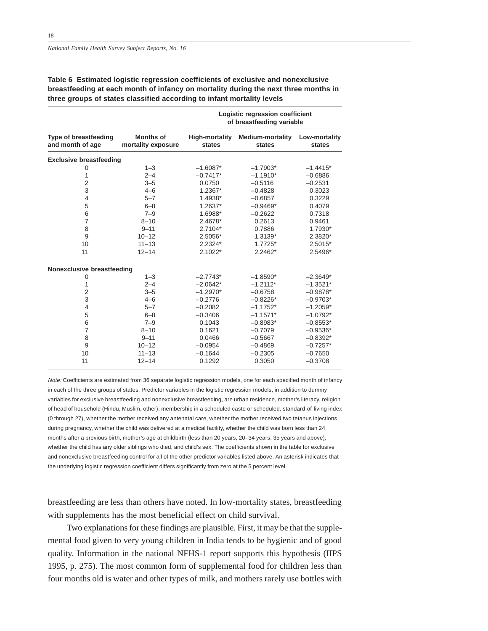18

**Table 6 Estimated logistic regression coefficients of exclusive and nonexclusive breastfeeding at each month of infancy on mortality during the next three months in three groups of states classified according to infant mortality levels**

|                                                  |                                        | Logistic regression coefficient<br>of breastfeeding variable |                                   |                         |  |
|--------------------------------------------------|----------------------------------------|--------------------------------------------------------------|-----------------------------------|-------------------------|--|
| <b>Type of breastfeeding</b><br>and month of age | <b>Months of</b><br>mortality exposure | <b>High-mortality</b><br>states                              | <b>Medium-mortality</b><br>states | Low-mortality<br>states |  |
| <b>Exclusive breastfeeding</b>                   |                                        |                                                              |                                   |                         |  |
| 0                                                | $1 - 3$                                | $-1.6087*$                                                   | $-1.7903*$                        | $-1.4415*$              |  |
| 1                                                | $2 - 4$                                | $-0.7417*$                                                   | $-1.1910*$                        | $-0.6886$               |  |
| $\overline{2}$                                   | $3 - 5$                                | 0.0750                                                       | $-0.5116$                         | $-0.2531$               |  |
| 3                                                | $4 - 6$                                | $1.2367*$                                                    | $-0.4828$                         | 0.3023                  |  |
| $\overline{4}$                                   | $5 - 7$                                | 1.4938*                                                      | $-0.6857$                         | 0.3229                  |  |
| 5                                                | $6 - 8$                                | 1.2637*                                                      | $-0.9469*$                        | 0.4079                  |  |
| 6                                                | $7 - 9$                                | 1.6988*                                                      | $-0.2622$                         | 0.7318                  |  |
| $\overline{7}$                                   | $8 - 10$                               | 2.4678*                                                      | 0.2613                            | 0.9461                  |  |
| 8                                                | $9 - 11$                               | 2.7104*                                                      | 0.7886                            | 1.7930*                 |  |
| 9                                                | $10 - 12$                              | 2.5056*                                                      | 1.3139*                           | 2.3820*                 |  |
| 10                                               | $11 - 13$                              | 2.2324*                                                      | $1.7725*$                         | $2.5015*$               |  |
| 11                                               | $12 - 14$                              | $2.1022*$                                                    | 2.2462*                           | 2.5496*                 |  |
| Nonexclusive breastfeeding                       |                                        |                                                              |                                   |                         |  |
| 0                                                | $1 - 3$                                | $-2.7743*$                                                   | $-1.8590*$                        | $-2.3649*$              |  |
| 1                                                | $2 - 4$                                | $-2.0642*$                                                   | $-1.2112*$                        | $-1.3521*$              |  |
| $\overline{2}$                                   | $3 - 5$                                | $-1.2970*$                                                   | $-0.6758$                         | $-0.9878*$              |  |
| 3                                                | $4 - 6$                                | $-0.2776$                                                    | $-0.8226*$                        | $-0.9703*$              |  |
| $\overline{4}$                                   | $5 - 7$                                | $-0.2082$                                                    | $-1.1752*$                        | $-1.2059*$              |  |
| 5                                                | $6 - 8$                                | $-0.3406$                                                    | $-1.1571*$                        | $-1.0792*$              |  |
| 6                                                | $7 - 9$                                | 0.1043                                                       | $-0.8983*$                        | $-0.8553*$              |  |
| $\overline{7}$                                   | $8 - 10$                               | 0.1621                                                       | $-0.7079$                         | $-0.9536*$              |  |
| 8                                                | $9 - 11$                               | 0.0466                                                       | $-0.5667$                         | $-0.8392*$              |  |
| 9                                                | $10 - 12$                              | $-0.0954$                                                    | $-0.4869$                         | $-0.7257*$              |  |
| 10                                               | $11 - 13$                              | $-0.1644$                                                    | $-0.2305$                         | $-0.7650$               |  |
| 11                                               | $12 - 14$                              | 0.1292                                                       | 0.3050                            | $-0.3708$               |  |

Note: Coefficients are estimated from 36 separate logistic regression models, one for each specified month of infancy in each of the three groups of states. Predictor variables in the logistic regression models, in addition to dummy variables for exclusive breastfeeding and nonexclusive breastfeeding, are urban residence, mother's literacy, religion of head of household (Hindu, Muslim, other), membership in a scheduled caste or scheduled, standard-of-living index (0 through 27), whether the mother received any antenatal care, whether the mother received two tetanus injections during pregnancy, whether the child was delivered at a medical facility, whether the child was born less than 24 months after a previous birth, mother's age at childbirth (less than 20 years, 20–34 years, 35 years and above), whether the child has any older siblings who died, and child's sex. The coefficients shown in the table for exclusive and nonexclusive breastfeeding control for all of the other predictor variables listed above. An asterisk indicates that the underlying logistic regression coefficient differs significantly from zero at the 5 percent level.

breastfeeding are less than others have noted. In low-mortality states, breastfeeding with supplements has the most beneficial effect on child survival.

Two explanations for these findings are plausible. First, it may be that the supplemental food given to very young children in India tends to be hygienic and of good quality. Information in the national NFHS-1 report supports this hypothesis (IIPS 1995, p. 275). The most common form of supplemental food for children less than four months old is water and other types of milk, and mothers rarely use bottles with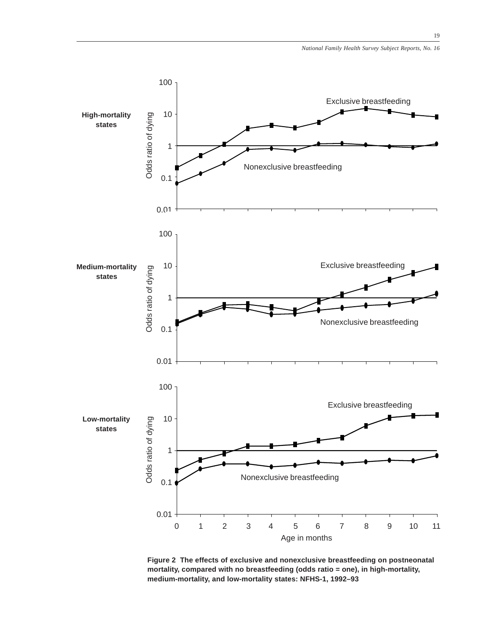

**Figure 2 The effects of exclusive and nonexclusive breastfeeding on postneonatal mortality, compared with no breastfeeding (odds ratio = one), in high-mortality, medium-mortality, and low-mortality states: NFHS-1, 1992–93**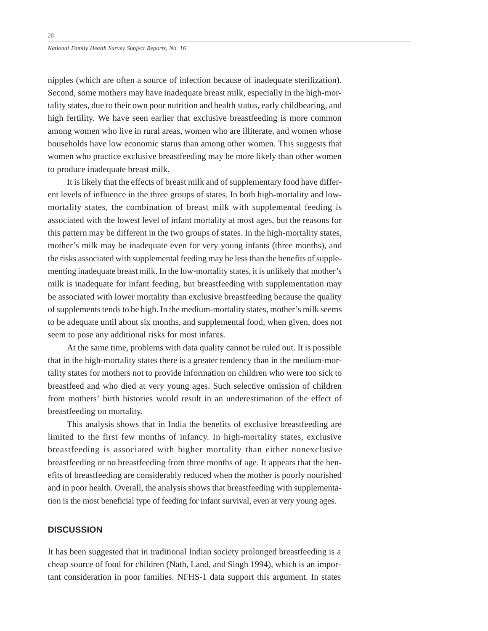nipples (which are often a source of infection because of inadequate sterilization). Second, some mothers may have inadequate breast milk, especially in the high-mortality states, due to their own poor nutrition and health status, early childbearing, and high fertility. We have seen earlier that exclusive breastfeeding is more common among women who live in rural areas, women who are illiterate, and women whose households have low economic status than among other women. This suggests that women who practice exclusive breastfeeding may be more likely than other women to produce inadequate breast milk.

It is likely that the effects of breast milk and of supplementary food have different levels of influence in the three groups of states. In both high-mortality and lowmortality states, the combination of breast milk with supplemental feeding is associated with the lowest level of infant mortality at most ages, but the reasons for this pattern may be different in the two groups of states. In the high-mortality states, mother's milk may be inadequate even for very young infants (three months), and the risks associated with supplemental feeding may be less than the benefits of supplementing inadequate breast milk. In the low-mortality states, it is unlikely that mother's milk is inadequate for infant feeding, but breastfeeding with supplementation may be associated with lower mortality than exclusive breastfeeding because the quality of supplements tends to be high. In the medium-mortality states, mother's milk seems to be adequate until about six months, and supplemental food, when given, does not seem to pose any additional risks for most infants.

At the same time, problems with data quality cannot be ruled out. It is possible that in the high-mortality states there is a greater tendency than in the medium-mortality states for mothers not to provide information on children who were too sick to breastfeed and who died at very young ages. Such selective omission of children from mothers' birth histories would result in an underestimation of the effect of breastfeeding on mortality.

This analysis shows that in India the benefits of exclusive breastfeeding are limited to the first few months of infancy. In high-mortality states, exclusive breastfeeding is associated with higher mortality than either nonexclusive breastfeeding or no breastfeeding from three months of age. It appears that the benefits of breastfeeding are considerably reduced when the mother is poorly nourished and in poor health. Overall, the analysis shows that breastfeeding with supplementation is the most beneficial type of feeding for infant survival, even at very young ages.

#### **DISCUSSION**

It has been suggested that in traditional Indian society prolonged breastfeeding is a cheap source of food for children (Nath, Land, and Singh 1994), which is an important consideration in poor families. NFHS-1 data support this argument. In states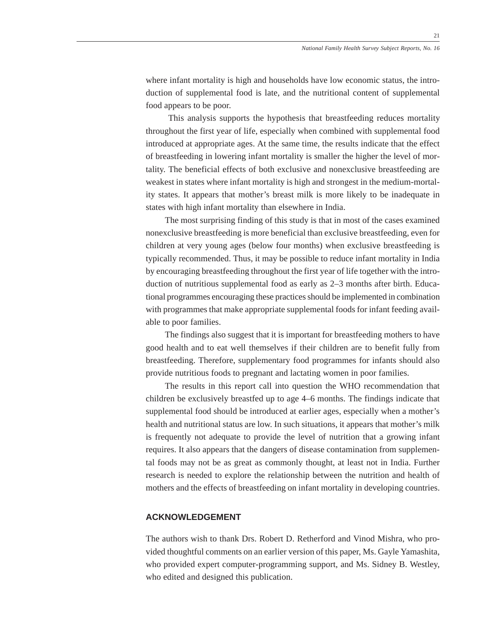where infant mortality is high and households have low economic status, the introduction of supplemental food is late, and the nutritional content of supplemental food appears to be poor.

 This analysis supports the hypothesis that breastfeeding reduces mortality throughout the first year of life, especially when combined with supplemental food introduced at appropriate ages. At the same time, the results indicate that the effect of breastfeeding in lowering infant mortality is smaller the higher the level of mortality. The beneficial effects of both exclusive and nonexclusive breastfeeding are weakest in states where infant mortality is high and strongest in the medium-mortality states. It appears that mother's breast milk is more likely to be inadequate in states with high infant mortality than elsewhere in India.

The most surprising finding of this study is that in most of the cases examined nonexclusive breastfeeding is more beneficial than exclusive breastfeeding, even for children at very young ages (below four months) when exclusive breastfeeding is typically recommended. Thus, it may be possible to reduce infant mortality in India by encouraging breastfeeding throughout the first year of life together with the introduction of nutritious supplemental food as early as 2–3 months after birth. Educational programmes encouraging these practices should be implemented in combination with programmes that make appropriate supplemental foods for infant feeding available to poor families.

The findings also suggest that it is important for breastfeeding mothers to have good health and to eat well themselves if their children are to benefit fully from breastfeeding. Therefore, supplementary food programmes for infants should also provide nutritious foods to pregnant and lactating women in poor families.

The results in this report call into question the WHO recommendation that children be exclusively breastfed up to age 4–6 months. The findings indicate that supplemental food should be introduced at earlier ages, especially when a mother's health and nutritional status are low. In such situations, it appears that mother's milk is frequently not adequate to provide the level of nutrition that a growing infant requires. It also appears that the dangers of disease contamination from supplemental foods may not be as great as commonly thought, at least not in India. Further research is needed to explore the relationship between the nutrition and health of mothers and the effects of breastfeeding on infant mortality in developing countries.

# **ACKNOWLEDGEMENT**

The authors wish to thank Drs. Robert D. Retherford and Vinod Mishra, who provided thoughtful comments on an earlier version of this paper, Ms. Gayle Yamashita, who provided expert computer-programming support, and Ms. Sidney B. Westley, who edited and designed this publication.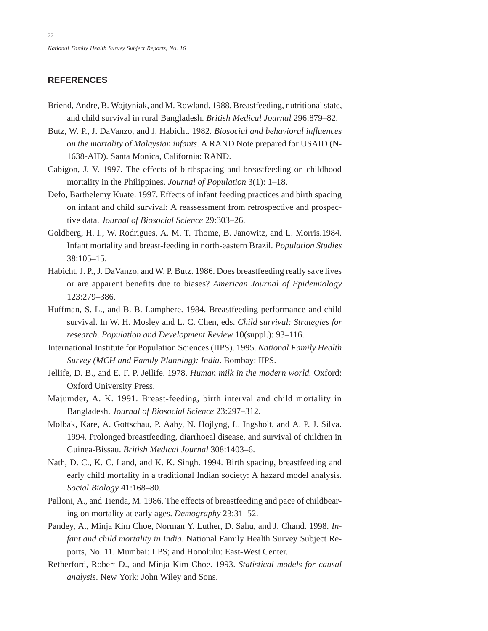# **REFERENCES**

- Briend, Andre, B. Wojtyniak, and M. Rowland. 1988. Breastfeeding, nutritional state, and child survival in rural Bangladesh. *British Medical Journal* 296:879–82.
- Butz, W. P., J. DaVanzo, and J. Habicht. 1982. *Biosocial and behavioral influences on the mortality of Malaysian infants*. A RAND Note prepared for USAID (N-1638-AID). Santa Monica, California: RAND.
- Cabigon, J. V. 1997. The effects of birthspacing and breastfeeding on childhood mortality in the Philippines. *Journal of Population* 3(1): 1–18.
- Defo, Barthelemy Kuate. 1997. Effects of infant feeding practices and birth spacing on infant and child survival: A reassessment from retrospective and prospective data. *Journal of Biosocial Science* 29:303–26.
- Goldberg, H. I., W. Rodrigues, A. M. T. Thome, B. Janowitz, and L. Morris.1984. Infant mortality and breast-feeding in north-eastern Brazil. *Population Studies* 38:105–15.
- Habicht, J. P., J. DaVanzo, and W. P. Butz. 1986. Does breastfeeding really save lives or are apparent benefits due to biases? *American Journal of Epidemiology* 123:279–386.
- Huffman, S. L., and B. B. Lamphere. 1984. Breastfeeding performance and child survival. In W. H. Mosley and L. C. Chen, eds. *Child survival: Strategies for research*. *Population and Development Review* 10(suppl.): 93–116.
- International Institute for Population Sciences (IIPS). 1995. *National Family Health Survey (MCH and Family Planning): India*. Bombay: IIPS.
- Jellife, D. B., and E. F. P. Jellife. 1978. *Human milk in the modern world.* Oxford: Oxford University Press.
- Majumder, A. K. 1991. Breast-feeding, birth interval and child mortality in Bangladesh. *Journal of Biosocial Science* 23:297–312.
- Molbak, Kare, A. Gottschau, P. Aaby, N. Hojlyng, L. Ingsholt, and A. P. J. Silva. 1994. Prolonged breastfeeding, diarrhoeal disease, and survival of children in Guinea-Bissau. *British Medical Journal* 308:1403–6.
- Nath, D. C., K. C. Land, and K. K. Singh. 1994. Birth spacing, breastfeeding and early child mortality in a traditional Indian society: A hazard model analysis. *Social Biology* 41:168–80.
- Palloni, A., and Tienda, M. 1986. The effects of breastfeeding and pace of childbearing on mortality at early ages. *Demography* 23:31–52.
- Pandey, A., Minja Kim Choe, Norman Y. Luther, D. Sahu, and J. Chand. 1998. *Infant and child mortality in India*. National Family Health Survey Subject Reports, No. 11. Mumbai: IIPS; and Honolulu: East-West Center.
- Retherford, Robert D., and Minja Kim Choe. 1993. *Statistical models for causal analysis*. New York: John Wiley and Sons.